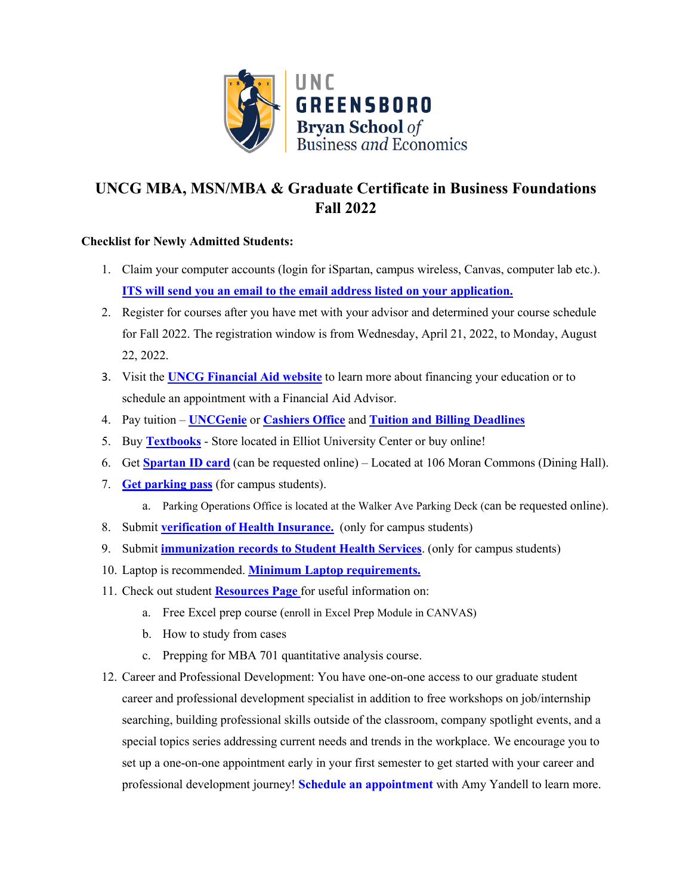

## **UNCG MBA, MSN/MBA & Graduate Certificate in Business Foundations Fall 2022**

## **Checklist for Newly Admitted Students:**

- 1. Claim your computer account[s](https://its.uncg.edu/Accounts/) (login for iSpartan, campus wireless, Canvas, computer lab etc.). **ITS will send you an email to the email address listed on your application.**
- 2. Register for courses after you have met with your advisor and determined your course schedule for Fall 2022. The registration window is from Wednesday, April 21, 2022, to Monday, August 22, 2022.
- 3. Visit the **[UNCG Financial Aid website](https://spartancentral.uncg.edu/financial-aid/)** to learn more about financing your education or to schedule an appointment with a Financial Aid Advisor.
- 4. Pay tuition **[UNCGenie](https://banweb.uncg.edu/prod/twbkwbis.P_WWWLogin)** or **[Cashiers Office](https://csh.uncg.edu/)** and **[Tuition and Billing Deadlines](https://spartancentral.uncg.edu/tuition-billing-payments/billing-info/)**
- 5. Buy **[Textbooks](https://bookstore.uncg.edu/)** [-](https://bookstore.uncg.edu/) Store located in Elliot University Center or buy online!
- 6. Get **[Spartan ID card](https://spartancard.uncg.edu/)** (can be requested online) Located at 106 Moran Commons (Dining Hall).
- 7. **[Get parking pass](https://parking.uncg.edu/parking-operations/students/)** (for campus students).
	- a. Parking Operations Office is located at the Walker Ave Parking Deck (can be requested online).
- 8. Submit **[verification of Health Insurance.](https://shs.uncg.edu/student-insurance)** (only for campus students)
- 9. Submit **[immunization records to Student Health Services](https://shs.uncg.edu/immunizations)**[.](https://shs.uncg.edu/immunization) (only for campus students)
- 10. Laptop is recommended. **[Minimum Laptop requirements.](https://uncg.service-now.com/kb?id=kb_article_view&sysparm_article=KB0010326&sys_kb_id=e24fe4ecdb55578090d074b5ae9619c5)**
- 11. Check out studen[t](https://bryan.uncg.edu/students/graduate/mba/advising/) **[Resources Page](https://bryan.uncg.edu/advising/resources/)** for useful information on:
	- a. Free Excel prep course (enroll in Excel Prep Module in CANVAS)
	- b. How to study from cases
	- c. Prepping for MBA 701 quantitative analysis course.
- 12. Career and Professional Development: You have one-on-one access to our graduate student career and professional development specialist in addition to free workshops on job/internship searching, building professional skills outside of the classroom, company spotlight events, and a special topics series addressing current needs and trends in the workplace. We encourage you to set up a one-on-one appointment early in your first semester to get started with your career and professional development journey! **[Schedule an appointment](https://calendly.com/bryangradcareercenter)** with Amy Yandell to learn more.